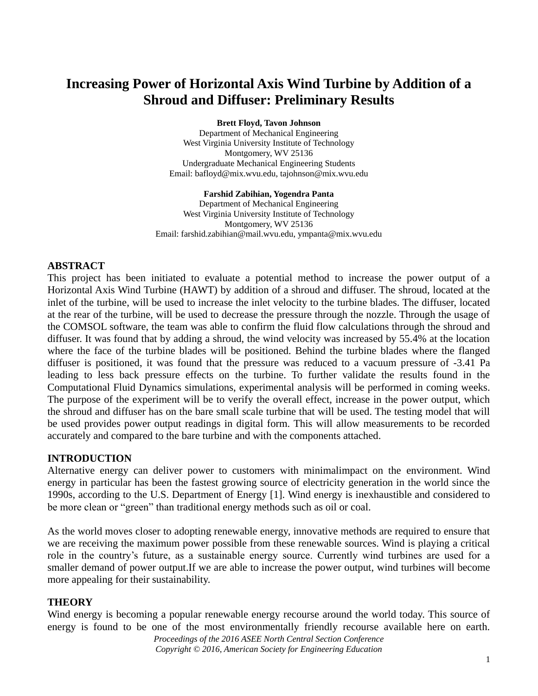# **Increasing Power of Horizontal Axis Wind Turbine by Addition of a Shroud and Diffuser: Preliminary Results**

**Brett Floyd, Tavon Johnson**

Department of Mechanical Engineering West Virginia University Institute of Technology Montgomery, WV 25136 Undergraduate Mechanical Engineering Students Email: bafloyd@mix.wvu.edu, tajohnson@mix.wvu.edu

**Farshid Zabihian, Yogendra Panta** Department of Mechanical Engineering West Virginia University Institute of Technology Montgomery, WV 25136 Email: farshid.zabihian@mail.wvu.edu, ympanta@mix.wvu.edu

## **ABSTRACT**

This project has been initiated to evaluate a potential method to increase the power output of a Horizontal Axis Wind Turbine (HAWT) by addition of a shroud and diffuser. The shroud, located at the inlet of the turbine, will be used to increase the inlet velocity to the turbine blades. The diffuser, located at the rear of the turbine, will be used to decrease the pressure through the nozzle. Through the usage of the COMSOL software, the team was able to confirm the fluid flow calculations through the shroud and diffuser. It was found that by adding a shroud, the wind velocity was increased by 55.4% at the location where the face of the turbine blades will be positioned. Behind the turbine blades where the flanged diffuser is positioned, it was found that the pressure was reduced to a vacuum pressure of -3.41 Pa leading to less back pressure effects on the turbine. To further validate the results found in the Computational Fluid Dynamics simulations, experimental analysis will be performed in coming weeks. The purpose of the experiment will be to verify the overall effect, increase in the power output, which the shroud and diffuser has on the bare small scale turbine that will be used. The testing model that will be used provides power output readings in digital form. This will allow measurements to be recorded accurately and compared to the bare turbine and with the components attached.

# **INTRODUCTION**

Alternative energy can deliver power to customers with minimalimpact on the environment. Wind energy in particular has been the fastest growing source of electricity generation in the world since the 1990s, according to the U.S. Department of Energy [1]. Wind energy is inexhaustible and considered to be more clean or "green" than traditional energy methods such as oil or coal.

As the world moves closer to adopting renewable energy, innovative methods are required to ensure that we are receiving the maximum power possible from these renewable sources. Wind is playing a critical role in the country's future, as a sustainable energy source. Currently wind turbines are used for a smaller demand of power output.If we are able to increase the power output, wind turbines will become more appealing for their sustainability.

# **THEORY**

Wind energy is becoming a popular renewable energy recourse around the world today. This source of energy is found to be one of the most environmentally friendly recourse available here on earth.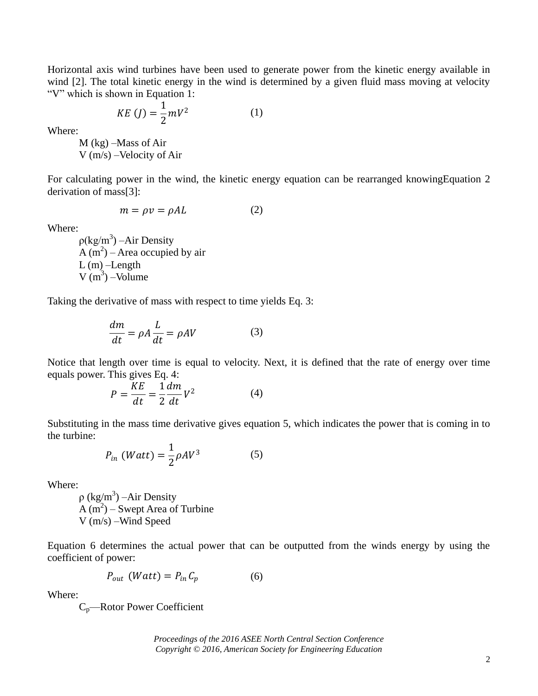Horizontal axis wind turbines have been used to generate power from the kinetic energy available in wind [2]. The total kinetic energy in the wind is determined by a given fluid mass moving at velocity "V" which is shown in Equation 1:

$$
KE (J) = \frac{1}{2} mV^2
$$
 (1)

Where:

M (kg) –Mass of Air V (m/s) –Velocity of Air

For calculating power in the wind, the kinetic energy equation can be rearranged knowingEquation 2 derivation of mass[3]:

$$
m = \rho v = \rho A L \tag{2}
$$

Where:

 $p(\text{kg/m}^3)$  –Air Density  $A(m^2)$  – Area occupied by air  $L(m)$ -Length  $V(m^3)$  –Volume

Taking the derivative of mass with respect to time yields Eq. 3:

$$
\frac{dm}{dt} = \rho A \frac{L}{dt} = \rho A V \tag{3}
$$

Notice that length over time is equal to velocity. Next, it is defined that the rate of energy over time equals power. This gives Eq. 4:

$$
P = \frac{KE}{dt} = \frac{1}{2} \frac{dm}{dt} V^2
$$
 (4)

Substituting in the mass time derivative gives equation 5, which indicates the power that is coming in to the turbine:

$$
P_{in} (Watt) = \frac{1}{2} \rho A V^3 \tag{5}
$$

Where:

 $\rho$  (kg/m<sup>3</sup>) – Air Density  $A(m^2)$  – Swept Area of Turbine V (m/s) –Wind Speed

Equation 6 determines the actual power that can be outputted from the winds energy by using the coefficient of power:

$$
P_{out} \ (Watt) = P_{in} C_p \tag{6}
$$

Where:

Cp—Rotor Power Coefficient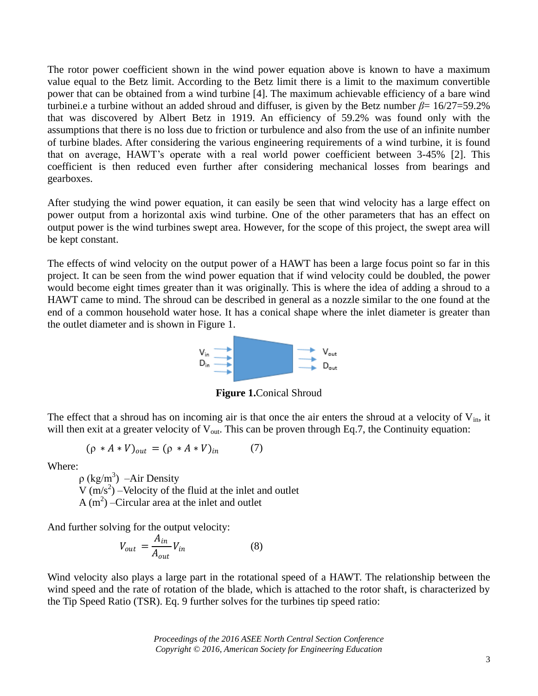The rotor power coefficient shown in the wind power equation above is known to have a maximum value equal to the Betz limit. According to the Betz limit there is a limit to the maximum convertible power that can be obtained from a wind turbine [4]. The maximum achievable efficiency of a bare wind turbinei.e a turbine without an added shroud and diffuser, is given by the Betz number  $\beta$ = 16/27=59.2% that was discovered by Albert Betz in 1919. An efficiency of 59.2% was found only with the assumptions that there is no loss due to friction or turbulence and also from the use of an infinite number of turbine blades. After considering the various engineering requirements of a wind turbine, it is found that on average, HAWT's operate with a real world power coefficient between 3-45% [2]. This coefficient is then reduced even further after considering mechanical losses from bearings and gearboxes.

After studying the wind power equation, it can easily be seen that wind velocity has a large effect on power output from a horizontal axis wind turbine. One of the other parameters that has an effect on output power is the wind turbines swept area. However, for the scope of this project, the swept area will be kept constant.

The effects of wind velocity on the output power of a HAWT has been a large focus point so far in this project. It can be seen from the wind power equation that if wind velocity could be doubled, the power would become eight times greater than it was originally. This is where the idea of adding a shroud to a HAWT came to mind. The shroud can be described in general as a nozzle similar to the one found at the end of a common household water hose. It has a conical shape where the inlet diameter is greater than the outlet diameter and is shown in Figure 1.



**Figure 1.**Conical Shroud

The effect that a shroud has on incoming air is that once the air enters the shroud at a velocity of  $V_{in}$ , it will then exit at a greater velocity of  $V_{\text{out}}$ . This can be proven through Eq.7, the Continuity equation:

$$
(\rho * A * V)_{out} = (\rho * A * V)_{in} \tag{7}
$$

Where:

 $\rho$  (kg/m<sup>3</sup>) – Air Density  $V(m/s<sup>2</sup>)$  –Velocity of the fluid at the inlet and outlet A  $(m^2)$  –Circular area at the inlet and outlet

And further solving for the output velocity:

$$
V_{out} = \frac{A_{in}}{A_{out}} V_{in}
$$
 (8)

Wind velocity also plays a large part in the rotational speed of a HAWT. The relationship between the wind speed and the rate of rotation of the blade, which is attached to the rotor shaft, is characterized by the Tip Speed Ratio (TSR). Eq. 9 further solves for the turbines tip speed ratio: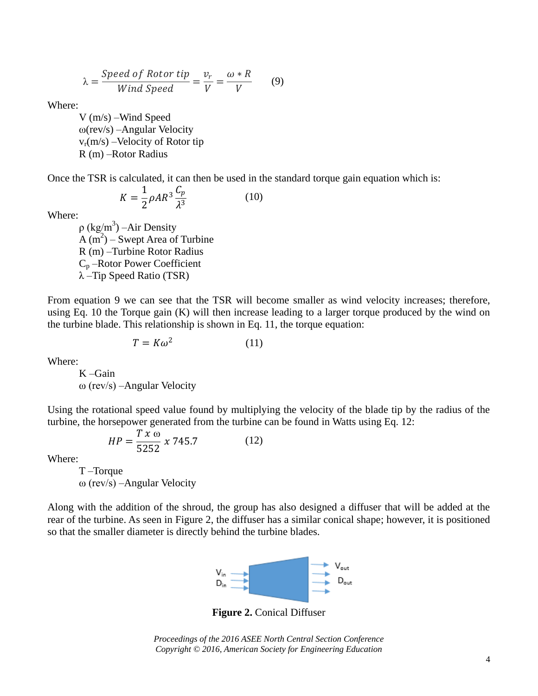$$
\lambda = \frac{Speed\ of\ Rotor\ tip}{Wind\ Speed} = \frac{v_r}{V} = \frac{\omega * R}{V} \tag{9}
$$

Where:

V (m/s) –Wind Speed ω(rev/s) –Angular Velocity  $v_r(m/s)$  –Velocity of Rotor tip R (m) –Rotor Radius

Once the TSR is calculated, it can then be used in the standard torque gain equation which is:

$$
K = \frac{1}{2}\rho AR^3 \frac{C_p}{\lambda^3} \tag{10}
$$

Where:

 $\rho$  (kg/m<sup>3</sup>) – Air Density  $A(m^2)$  – Swept Area of Turbine R (m) –Turbine Rotor Radius C<sup>p</sup> –Rotor Power Coefficient λ –Tip Speed Ratio (TSR)

From equation 9 we can see that the TSR will become smaller as wind velocity increases; therefore, using Eq. 10 the Torque gain (K) will then increase leading to a larger torque produced by the wind on the turbine blade. This relationship is shown in Eq. 11, the torque equation:

$$
T = K\omega^2 \tag{11}
$$

Where:

K –Gain ω (rev/s) –Angular Velocity

Using the rotational speed value found by multiplying the velocity of the blade tip by the radius of the turbine, the horsepower generated from the turbine can be found in Watts using Eq. 12:

$$
HP = \frac{T \times \omega}{5252} \times 745.7
$$
 (12)

Where:

T –Torque ω (rev/s) –Angular Velocity

Along with the addition of the shroud, the group has also designed a diffuser that will be added at the rear of the turbine. As seen in Figure 2, the diffuser has a similar conical shape; however, it is positioned so that the smaller diameter is directly behind the turbine blades.



**Figure 2.** Conical Diffuser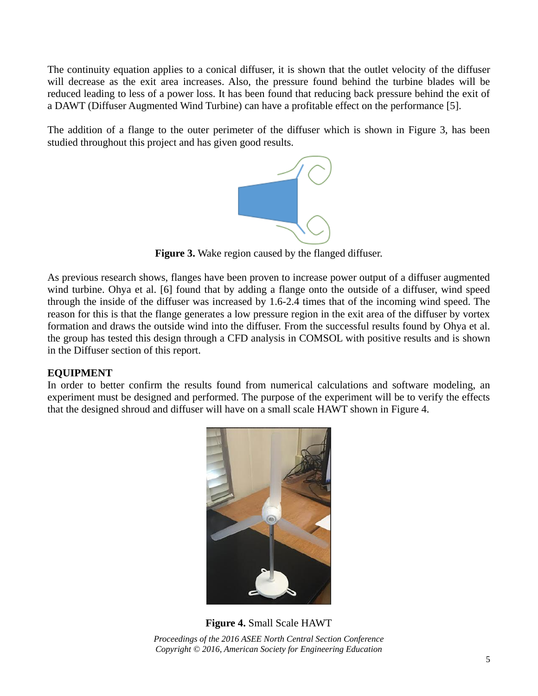The continuity equation applies to a conical diffuser, it is shown that the outlet velocity of the diffuser will decrease as the exit area increases. Also, the pressure found behind the turbine blades will be reduced leading to less of a power loss. It has been found that reducing back pressure behind the exit of a DAWT (Diffuser Augmented Wind Turbine) can have a profitable effect on the performance [5].

The addition of a flange to the outer perimeter of the diffuser which is shown in Figure 3, has been studied throughout this project and has given good results.



**Figure 3.** Wake region caused by the flanged diffuser.

As previous research shows, flanges have been proven to increase power output of a diffuser augmented wind turbine. Ohya et al. [6] found that by adding a flange onto the outside of a diffuser, wind speed through the inside of the diffuser was increased by 1.6-2.4 times that of the incoming wind speed. The reason for this is that the flange generates a low pressure region in the exit area of the diffuser by vortex formation and draws the outside wind into the diffuser. From the successful results found by Ohya et al. the group has tested this design through a CFD analysis in COMSOL with positive results and is shown in the Diffuser section of this report.

# **EQUIPMENT**

In order to better confirm the results found from numerical calculations and software modeling, an experiment must be designed and performed. The purpose of the experiment will be to verify the effects that the designed shroud and diffuser will have on a small scale HAWT shown in Figure 4.



*Proceedings of the 2016 ASEE North Central Section Conference Copyright © 2016, American Society for Engineering Education* **Figure 4.** Small Scale HAWT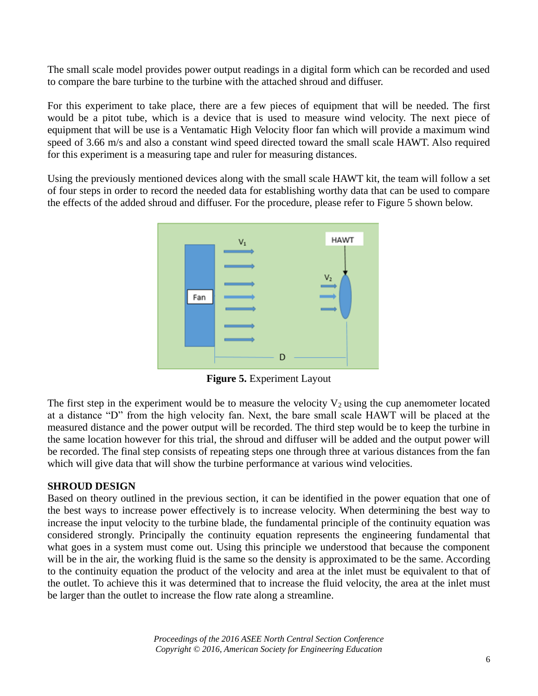The small scale model provides power output readings in a digital form which can be recorded and used to compare the bare turbine to the turbine with the attached shroud and diffuser.

For this experiment to take place, there are a few pieces of equipment that will be needed. The first would be a pitot tube, which is a device that is used to measure wind velocity. The next piece of equipment that will be use is a Ventamatic High Velocity floor fan which will provide a maximum wind speed of 3.66 m/s and also a constant wind speed directed toward the small scale HAWT. Also required for this experiment is a measuring tape and ruler for measuring distances.

Using the previously mentioned devices along with the small scale HAWT kit, the team will follow a set of four steps in order to record the needed data for establishing worthy data that can be used to compare the effects of the added shroud and diffuser. For the procedure, please refer to Figure 5 shown below.



**Figure 5.** Experiment Layout

The first step in the experiment would be to measure the velocity  $V_2$  using the cup anemometer located at a distance "D" from the high velocity fan. Next, the bare small scale HAWT will be placed at the measured distance and the power output will be recorded. The third step would be to keep the turbine in the same location however for this trial, the shroud and diffuser will be added and the output power will be recorded. The final step consists of repeating steps one through three at various distances from the fan which will give data that will show the turbine performance at various wind velocities.

#### **SHROUD DESIGN**

Based on theory outlined in the previous section, it can be identified in the power equation that one of the best ways to increase power effectively is to increase velocity. When determining the best way to increase the input velocity to the turbine blade, the fundamental principle of the continuity equation was considered strongly. Principally the continuity equation represents the engineering fundamental that what goes in a system must come out. Using this principle we understood that because the component will be in the air, the working fluid is the same so the density is approximated to be the same. According to the continuity equation the product of the velocity and area at the inlet must be equivalent to that of the outlet. To achieve this it was determined that to increase the fluid velocity, the area at the inlet must be larger than the outlet to increase the flow rate along a streamline.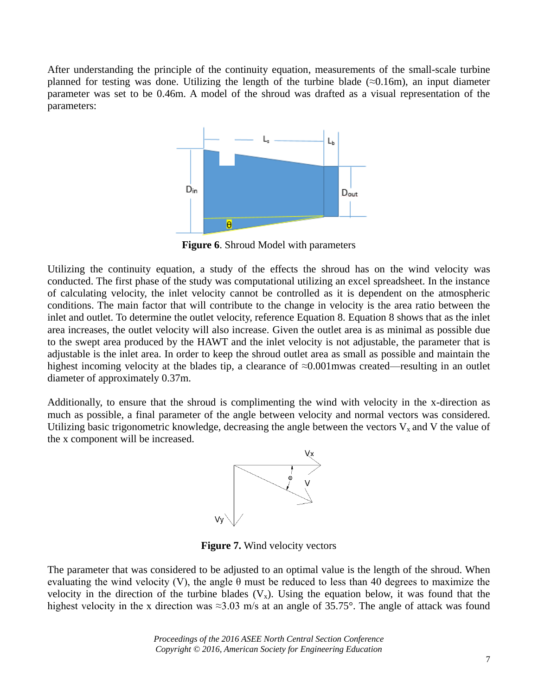After understanding the principle of the continuity equation, measurements of the small-scale turbine planned for testing was done. Utilizing the length of the turbine blade  $(\approx 0.16$ m), an input diameter parameter was set to be 0.46m. A model of the shroud was drafted as a visual representation of the parameters:



**Figure 6**. Shroud Model with parameters

Utilizing the continuity equation, a study of the effects the shroud has on the wind velocity was conducted. The first phase of the study was computational utilizing an excel spreadsheet. In the instance of calculating velocity, the inlet velocity cannot be controlled as it is dependent on the atmospheric conditions. The main factor that will contribute to the change in velocity is the area ratio between the inlet and outlet. To determine the outlet velocity, reference Equation 8. Equation 8 shows that as the inlet area increases, the outlet velocity will also increase. Given the outlet area is as minimal as possible due to the swept area produced by the HAWT and the inlet velocity is not adjustable, the parameter that is adjustable is the inlet area. In order to keep the shroud outlet area as small as possible and maintain the highest incoming velocity at the blades tip, a clearance of ≈0.001mwas created—resulting in an outlet diameter of approximately 0.37m.

Additionally, to ensure that the shroud is complimenting the wind with velocity in the x-direction as much as possible, a final parameter of the angle between velocity and normal vectors was considered. Utilizing basic trigonometric knowledge, decreasing the angle between the vectors  $V_x$  and V the value of the x component will be increased.



**Figure 7.** Wind velocity vectors

The parameter that was considered to be adjusted to an optimal value is the length of the shroud. When evaluating the wind velocity (V), the angle  $\theta$  must be reduced to less than 40 degrees to maximize the velocity in the direction of the turbine blades  $(V_x)$ . Using the equation below, it was found that the highest velocity in the x direction was ≈3.03 m/s at an angle of 35.75°. The angle of attack was found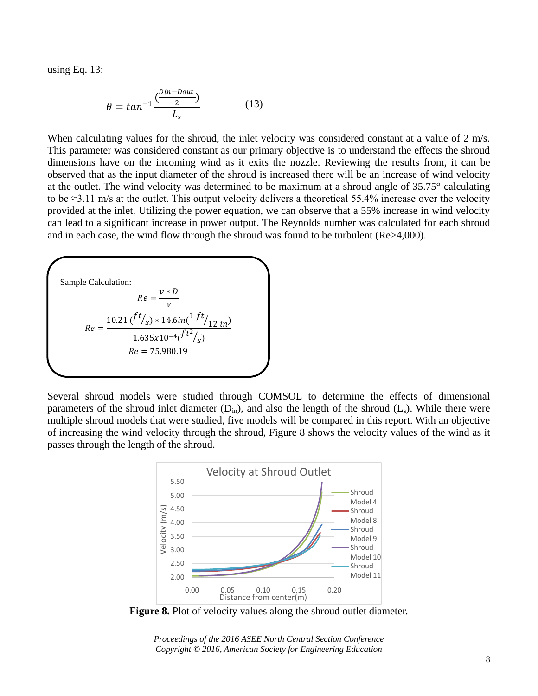using Eq. 13:

$$
\theta = \tan^{-1} \frac{\left(\frac{D\text{in} - D\text{out}}{2}\right)}{L_s} \tag{13}
$$

When calculating values for the shroud, the inlet velocity was considered constant at a value of 2 m/s. This parameter was considered constant as our primary objective is to understand the effects the shroud dimensions have on the incoming wind as it exits the nozzle. Reviewing the results from, it can be observed that as the input diameter of the shroud is increased there will be an increase of wind velocity at the outlet. The wind velocity was determined to be maximum at a shroud angle of 35.75° calculating to be ≈3.11 m/s at the outlet. This output velocity delivers a theoretical 55.4% increase over the velocity provided at the inlet. Utilizing the power equation, we can observe that a 55% increase in wind velocity can lead to a significant increase in power output. The Reynolds number was calculated for each shroud and in each case, the wind flow through the shroud was found to be turbulent (Re>4,000).



Several shroud models were studied through COMSOL to determine the effects of dimensional parameters of the shroud inlet diameter  $(D_{in})$ , and also the length of the shroud  $(L_s)$ . While there were multiple shroud models that were studied, five models will be compared in this report. With an objective of increasing the wind velocity through the shroud, Figure 8 shows the velocity values of the wind as it passes through the length of the shroud.



**Figure 8.** Plot of velocity values along the shroud outlet diameter.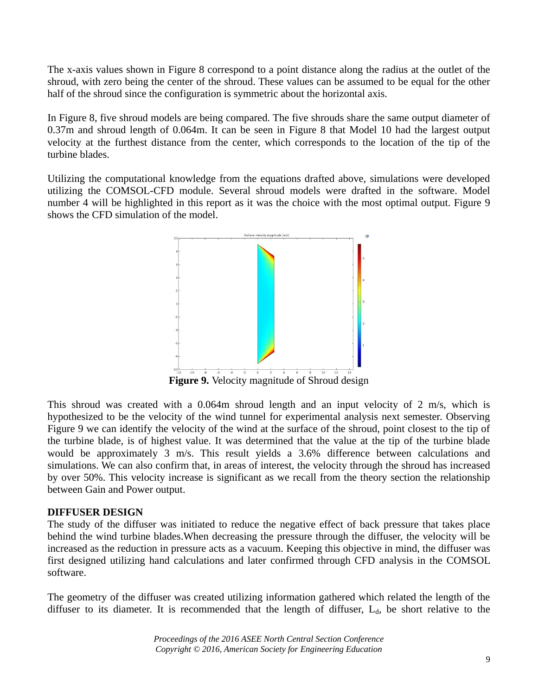The x-axis values shown in Figure 8 correspond to a point distance along the radius at the outlet of the shroud, with zero being the center of the shroud. These values can be assumed to be equal for the other half of the shroud since the configuration is symmetric about the horizontal axis.

In Figure 8, five shroud models are being compared. The five shrouds share the same output diameter of 0.37m and shroud length of 0.064m. It can be seen in Figure 8 that Model 10 had the largest output velocity at the furthest distance from the center, which corresponds to the location of the tip of the turbine blades.

Utilizing the computational knowledge from the equations drafted above, simulations were developed utilizing the COMSOL-CFD module. Several shroud models were drafted in the software. Model number 4 will be highlighted in this report as it was the choice with the most optimal output. Figure 9 shows the CFD simulation of the model.



This shroud was created with a 0.064m shroud length and an input velocity of 2 m/s, which is hypothesized to be the velocity of the wind tunnel for experimental analysis next semester. Observing Figure 9 we can identify the velocity of the wind at the surface of the shroud, point closest to the tip of the turbine blade, is of highest value. It was determined that the value at the tip of the turbine blade would be approximately 3 m/s. This result yields a 3.6% difference between calculations and simulations. We can also confirm that, in areas of interest, the velocity through the shroud has increased by over 50%. This velocity increase is significant as we recall from the theory section the relationship between Gain and Power output.

#### **DIFFUSER DESIGN**

The study of the diffuser was initiated to reduce the negative effect of back pressure that takes place behind the wind turbine blades.When decreasing the pressure through the diffuser, the velocity will be increased as the reduction in pressure acts as a vacuum. Keeping this objective in mind, the diffuser was first designed utilizing hand calculations and later confirmed through CFD analysis in the COMSOL software.

The geometry of the diffuser was created utilizing information gathered which related the length of the diffuser to its diameter. It is recommended that the length of diffuser,  $L_d$ , be short relative to the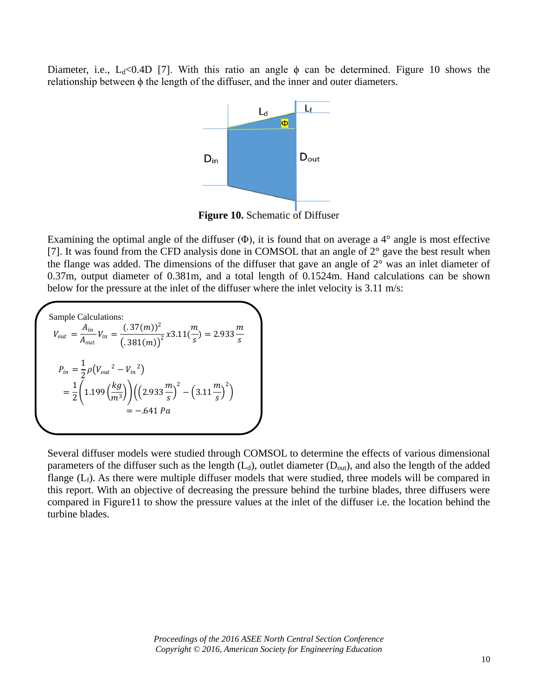Diameter, i.e., L<sub>d</sub><0.4D [7]. With this ratio an angle  $\phi$  can be determined. Figure 10 shows the relationship between ϕ the length of the diffuser, and the inner and outer diameters.



**Figure 10.** Schematic of Diffuser

Examining the optimal angle of the diffuser  $(\Phi)$ , it is found that on average a 4 $\degree$  angle is most effective [7]. It was found from the CFD analysis done in COMSOL that an angle of  $2^{\circ}$  gave the best result when the flange was added. The dimensions of the diffuser that gave an angle of 2° was an inlet diameter of 0.37m, output diameter of 0.381m, and a total length of 0.1524m. Hand calculations can be shown below for the pressure at the inlet of the diffuser where the inlet velocity is 3.11 m/s:

Sample Calculations:  $V_{out}=\frac{A_{in}}{4}$  $rac{A_{in}}{A_{out}}V_{in} = \frac{(.37(m))^{2}}{(.381(m))^{2}}$  $\frac{(.37(m))^{2}}{(.381(m))^{2}}x3.11(\frac{m}{s})$  $\frac{m}{s}$ ) = 2.933 $\frac{m}{s}$ s  $P_{in} = \frac{1}{2}$  $\frac{1}{2}\rho(V_{out}^2 - V_{in}^2)$  $=\frac{1}{2}$  $\frac{1}{2}$  (1.199 $\left(\frac{kg}{m^3}\right)$  $\left(\frac{kg}{m^3}\right)\bigg) \bigg( \bigg(2.933 \frac{m}{s}\bigg)$  $\left(\frac{m}{s}\right)^2 - \left(3.11\frac{m}{s}\right)$  $\left(\frac{m}{s}\right)^2$ −.641 Pa

Several diffuser models were studied through COMSOL to determine the effects of various dimensional parameters of the diffuser such as the length  $(L_d)$ , outlet diameter  $(D_{out})$ , and also the length of the added flange  $(L_f)$ . As there were multiple diffuser models that were studied, three models will be compared in this report. With an objective of decreasing the pressure behind the turbine blades, three diffusers were compared in Figure11 to show the pressure values at the inlet of the diffuser i.e. the location behind the turbine blades.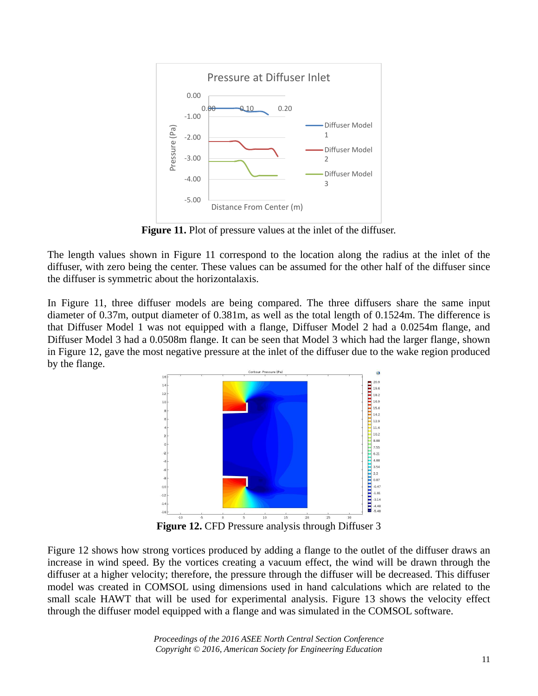

**Figure 11.** Plot of pressure values at the inlet of the diffuser.

The length values shown in Figure 11 correspond to the location along the radius at the inlet of the diffuser, with zero being the center. These values can be assumed for the other half of the diffuser since the diffuser is symmetric about the horizontalaxis.

In Figure 11, three diffuser models are being compared. The three diffusers share the same input diameter of 0.37m, output diameter of 0.381m, as well as the total length of 0.1524m. The difference is that Diffuser Model 1 was not equipped with a flange, Diffuser Model 2 had a 0.0254m flange, and Diffuser Model 3 had a 0.0508m flange. It can be seen that Model 3 which had the larger flange, shown in Figure 12, gave the most negative pressure at the inlet of the diffuser due to the wake region produced by the flange.



Figure 12 shows how strong vortices produced by adding a flange to the outlet of the diffuser draws an increase in wind speed. By the vortices creating a vacuum effect, the wind will be drawn through the diffuser at a higher velocity; therefore, the pressure through the diffuser will be decreased. This diffuser model was created in COMSOL using dimensions used in hand calculations which are related to the small scale HAWT that will be used for experimental analysis. Figure 13 shows the velocity effect through the diffuser model equipped with a flange and was simulated in the COMSOL software.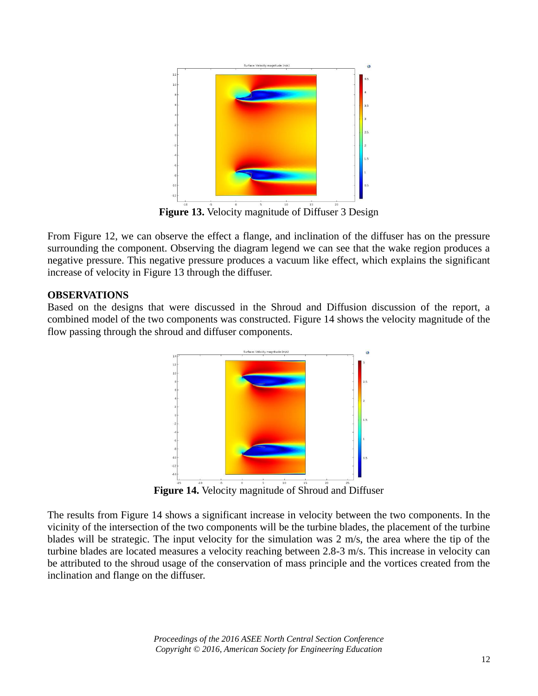

From Figure 12, we can observe the effect a flange, and inclination of the diffuser has on the pressure surrounding the component. Observing the diagram legend we can see that the wake region produces a negative pressure. This negative pressure produces a vacuum like effect, which explains the significant increase of velocity in Figure 13 through the diffuser.

# **OBSERVATIONS**

Based on the designs that were discussed in the Shroud and Diffusion discussion of the report, a combined model of the two components was constructed. Figure 14 shows the velocity magnitude of the flow passing through the shroud and diffuser components.



The results from Figure 14 shows a significant increase in velocity between the two components. In the vicinity of the intersection of the two components will be the turbine blades, the placement of the turbine blades will be strategic. The input velocity for the simulation was 2 m/s, the area where the tip of the turbine blades are located measures a velocity reaching between 2.8-3 m/s. This increase in velocity can be attributed to the shroud usage of the conservation of mass principle and the vortices created from the inclination and flange on the diffuser.